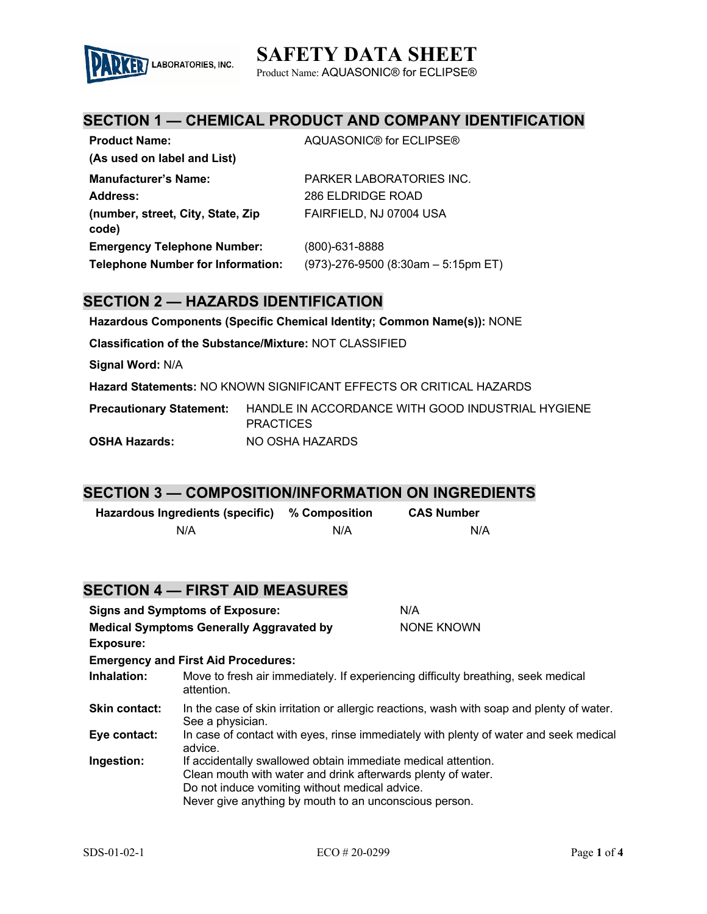# **SAFETY DATA SHEET**



Product Name: AQUASONIC® for ECLIPSE®

## **SECTION 1 — CHEMICAL PRODUCT AND COMPANY IDENTIFICATION**

| <b>Product Name:</b>                       | AQUASONIC® for ECLIPSE®                |
|--------------------------------------------|----------------------------------------|
| (As used on label and List)                |                                        |
| <b>Manufacturer's Name:</b>                | PARKER LABORATORIES INC.               |
| Address:                                   | 286 ELDRIDGE ROAD                      |
| (number, street, City, State, Zip<br>code) | FAIRFIELD, NJ 07004 USA                |
| <b>Emergency Telephone Number:</b>         | (800)-631-8888                         |
| <b>Telephone Number for Information:</b>   | $(973)$ -276-9500 (8:30am - 5:15pm ET) |

### **SECTION 2 — HAZARDS IDENTIFICATION**

**Hazardous Components (Specific Chemical Identity; Common Name(s)):** NONE

**Classification of the Substance/Mixture:** NOT CLASSIFIED

**Signal Word:** N/A

**Hazard Statements:** NO KNOWN SIGNIFICANT EFFECTS OR CRITICAL HAZARDS

**Precautionary Statement:** HANDLE IN ACCORDANCE WITH GOOD INDUSTRIAL HYGIENE **PRACTICES OSHA Hazards:** NO OSHA HAZARDS

### **SECTION 3 — COMPOSITION/INFORMATION ON INGREDIENTS**

| Hazardous Ingredients (specific) % Composition |     | <b>CAS Number</b> |
|------------------------------------------------|-----|-------------------|
| N/A                                            | N/A | N/A               |

|                                                                     | <b>SECTION 4 — FIRST AID MEASURES</b>                                                                                                                                                                                                     |                                                                                       |
|---------------------------------------------------------------------|-------------------------------------------------------------------------------------------------------------------------------------------------------------------------------------------------------------------------------------------|---------------------------------------------------------------------------------------|
|                                                                     | <b>Signs and Symptoms of Exposure:</b>                                                                                                                                                                                                    | N/A                                                                                   |
| <b>Medical Symptoms Generally Aggravated by</b><br><b>Exposure:</b> |                                                                                                                                                                                                                                           | NONE KNOWN                                                                            |
|                                                                     | <b>Emergency and First Aid Procedures:</b>                                                                                                                                                                                                |                                                                                       |
| Inhalation:                                                         | Move to fresh air immediately. If experiencing difficulty breathing, seek medical<br>attention.                                                                                                                                           |                                                                                       |
| <b>Skin contact:</b>                                                | In the case of skin irritation or allergic reactions, wash with soap and plenty of water.<br>See a physician.                                                                                                                             |                                                                                       |
| Eye contact:                                                        | advice.                                                                                                                                                                                                                                   | In case of contact with eyes, rinse immediately with plenty of water and seek medical |
| Ingestion:                                                          | If accidentally swallowed obtain immediate medical attention.<br>Clean mouth with water and drink afterwards plenty of water.<br>Do not induce vomiting without medical advice.<br>Never give anything by mouth to an unconscious person. |                                                                                       |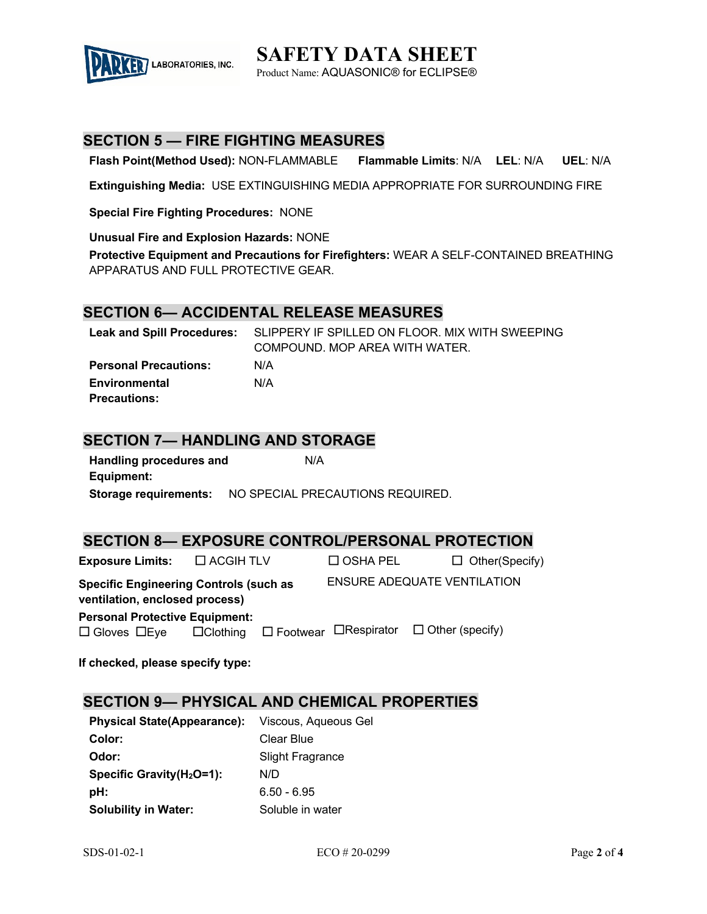

**SAFETY DATA SHEET** Product Name: AQUASONIC® for ECLIPSE®

### **SECTION 5 — FIRE FIGHTING MEASURES**

**Flash Point(Method Used):** NON-FLAMMABLE **Flammable Limits**: N/A **LEL**: N/A **UEL**: N/A

**Extinguishing Media:** USE EXTINGUISHING MEDIA APPROPRIATE FOR SURROUNDING FIRE

**Special Fire Fighting Procedures:** NONE

**Unusual Fire and Explosion Hazards:** NONE

**Protective Equipment and Precautions for Firefighters:** WEAR A SELF-CONTAINED BREATHING APPARATUS AND FULL PROTECTIVE GEAR.

#### **SECTION 6— ACCIDENTAL RELEASE MEASURES**

|                              | Leak and Spill Procedures: SLIPPERY IF SPILLED ON FLOOR. MIX WITH SWEEPING |
|------------------------------|----------------------------------------------------------------------------|
|                              | COMPOUND. MOP AREA WITH WATER.                                             |
| <b>Personal Precautions:</b> | N/A                                                                        |
| Environmental                | N/A                                                                        |
| <b>Precautions:</b>          |                                                                            |

### **SECTION 7— HANDLING AND STORAGE**

| Handling procedures and | N/A                              |
|-------------------------|----------------------------------|
| Equipment:              |                                  |
| Storage requirements:   | NO SPECIAL PRECAUTIONS REQUIRED. |

#### **SECTION 8— EXPOSURE CONTROL/PERSONAL PROTECTION**

| <b>Exposure Limits:</b>                                                         | $\Box$ ACGIH TLV | $\Box$ OSHA PEL | $\Box$ Other(Specify)                                                    |
|---------------------------------------------------------------------------------|------------------|-----------------|--------------------------------------------------------------------------|
| <b>Specific Engineering Controls (such as</b><br>ventilation, enclosed process) |                  |                 | <b>ENSURE ADEQUATE VENTILATION</b>                                       |
| <b>Personal Protective Equipment:</b>                                           |                  |                 |                                                                          |
| $\Box$ Gloves $\Box$ Eye                                                        |                  |                 | $\Box$ Clothing $\Box$ Footwear $\Box$ Respirator $\Box$ Other (specify) |
|                                                                                 |                  |                 |                                                                          |

**If checked, please specify type:**

### **SECTION 9— PHYSICAL AND CHEMICAL PROPERTIES**

| <b>Physical State(Appearance):</b>    | Viscous, Aqueous Gel    |
|---------------------------------------|-------------------------|
| Color:                                | Clear Blue              |
| Odor:                                 | <b>Slight Fragrance</b> |
| Specific Gravity(H <sub>2</sub> O=1): | N/D                     |
| pH:                                   | $6.50 - 6.95$           |
| <b>Solubility in Water:</b>           | Soluble in water        |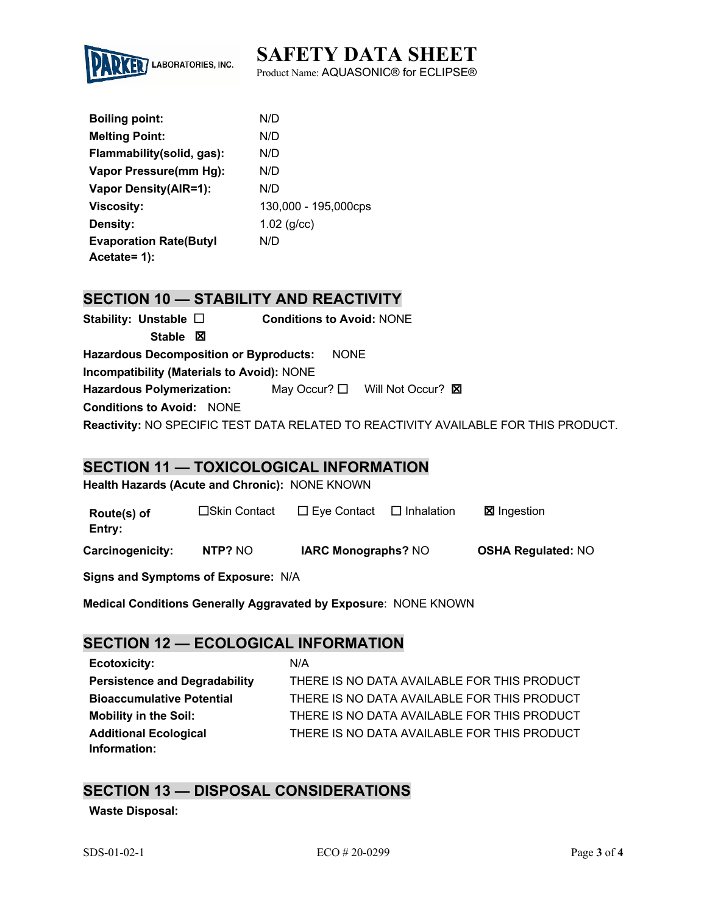# **SAFETY DATA SHEET**



Product Name: AQUASONIC® for ECLIPSE®

| <b>Boiling point:</b>         | N/D                  |
|-------------------------------|----------------------|
| <b>Melting Point:</b>         | N/D                  |
| Flammability(solid, gas):     | N/D                  |
| Vapor Pressure(mm Hg):        | N/D                  |
| <b>Vapor Density(AIR=1):</b>  | N/D                  |
| <b>Viscosity:</b>             | 130,000 - 195,000cps |
| Density:                      | $1.02$ (g/cc)        |
| <b>Evaporation Rate(Butyl</b> | N/D                  |
| Acetate= 1):                  |                      |

## **SECTION 10 — STABILITY AND REACTIVITY**

| Stability: Unstable $\square$                                                       | <b>Conditions to Avoid: NONE</b>              |  |  |
|-------------------------------------------------------------------------------------|-----------------------------------------------|--|--|
| Stable $\boxtimes$                                                                  |                                               |  |  |
| <b>Hazardous Decomposition or Byproducts:</b>                                       | <b>NONE</b>                                   |  |  |
| <b>Incompatibility (Materials to Avoid): NONE</b>                                   |                                               |  |  |
| <b>Hazardous Polymerization:</b>                                                    | May Occur? $\Box$ Will Not Occur? $\boxtimes$ |  |  |
| <b>Conditions to Avoid: NONE</b>                                                    |                                               |  |  |
| Reactivity: NO SPECIFIC TEST DATA RELATED TO REACTIVITY AVAILABLE FOR THIS PRODUCT. |                                               |  |  |

### **SECTION 11 — TOXICOLOGICAL INFORMATION**

**Health Hazards (Acute and Chronic):** NONE KNOWN

| Route(s) of<br>Entry: | □Skin Contact | $\square$ Eye Contact      | $\Box$ Inhalation | <b>⊠</b> Ingestion        |
|-----------------------|---------------|----------------------------|-------------------|---------------------------|
| Carcinogenicity:      | NTP? NO       | <b>IARC Monographs? NO</b> |                   | <b>OSHA Regulated: NO</b> |

**Signs and Symptoms of Exposure:** N/A

**Medical Conditions Generally Aggravated by Exposure**: NONE KNOWN

## **SECTION 12 — ECOLOGICAL INFORMATION**

**Ecotoxicity:** N/A **Persistence and Degradability** THERE IS NO DATA AVAILABLE FOR THIS PRODUCT **Bioaccumulative Potential** THERE IS NO DATA AVAILABLE FOR THIS PRODUCT **Mobility in the Soil:** THERE IS NO DATA AVAILABLE FOR THIS PRODUCT **Additional Ecological Information:** THERE IS NO DATA AVAILABLE FOR THIS PRODUCT

## **SECTION 13 — DISPOSAL CONSIDERATIONS**

**Waste Disposal:**